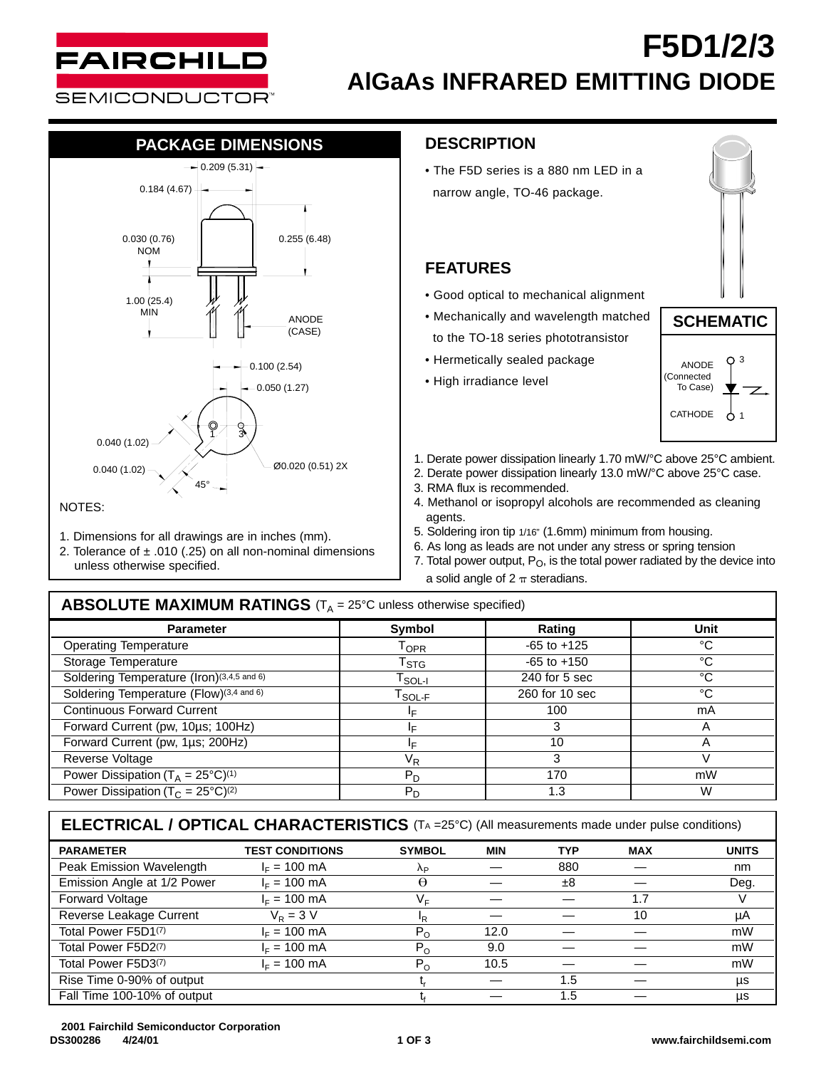

## **F5D1/2/3 AlGaAs INFRARED EMITTING DIODE**

# **PACKAGE DIMENSIONS**



- 1. Dimensions for all drawings are in inches (mm).
- 2. Tolerance of  $\pm$  .010 (.25) on all non-nominal dimensions
- unless otherwise specified.

## **DESCRIPTION**

• The F5D series is a 880 nm LED in a narrow angle, TO-46 package.

## **FEATURES**

- Good optical to mechanical alignment
- Mechanically and wavelength matched to the TO-18 series phototransistor
- Hermetically sealed package
- High irradiance level





- Ø0.020 (0.51) 2X 1. Derate power dissipation linearly 1.70 mW/°C above 25°C ambient.
	- 2. Derate power dissipation linearly 13.0 mW/°C above 25°C case.
	- 3. RMA flux is recommended.
	- 4. Methanol or isopropyl alcohols are recommended as cleaning agents.
	- 5. Soldering iron tip 1/16" (1.6mm) minimum from housing.
	- 6. As long as leads are not under any stress or spring tension
	- 7. Total power output,  $P_O$ , is the total power radiated by the device into a solid angle of  $2 \pi$  steradians.

#### **ABSOLUTE MAXIMUM RATINGS** (T<sub>A</sub> = 25°C unless otherwise specified)

| <b>Parameter</b>                                         | Symbol                                        | <b>Rating</b>   | Unit |  |
|----------------------------------------------------------|-----------------------------------------------|-----------------|------|--|
| <b>Operating Temperature</b>                             | $\mathsf{T}_{\mathsf{OPR}}$                   | $-65$ to $+125$ | °C   |  |
| Storage Temperature                                      | $\mathsf{T}_{\text{STG}}$                     | $-65$ to $+150$ | °C   |  |
| Soldering Temperature (Iron)(3,4,5 and 6)                | T <sub>SOL-I</sub>                            | $240$ for 5 sec | °C   |  |
| Soldering Temperature (Flow)(3,4 and 6)                  | $\mathsf{T}_{\mathsf{SOL}\text{-}\mathsf{F}}$ | 260 for 10 sec  | °C   |  |
| <b>Continuous Forward Current</b>                        | IΕ                                            | 100             | mA   |  |
| Forward Current (pw, 10us; 100Hz)                        |                                               | 3               | Α    |  |
| Forward Current (pw, 1µs; 200Hz)                         | IΕ                                            | 10              | A    |  |
| Reverse Voltage                                          | V <sub>R</sub>                                | 3               |      |  |
| Power Dissipation ( $T_A = 25^{\circ}C$ ) <sup>(1)</sup> | $P_D$                                         | 170             | mW   |  |
| Power Dissipation ( $T_c = 25^{\circ}C^{(2)}$            | $P_D$                                         | 1.3             | W    |  |

### **ELECTRICAL / OPTICAL CHARACTERISTICS** (TA =25°C) (All measurements made under pulse conditions)

| <b>PARAMETER</b>            | <b>TEST CONDITIONS</b> | <b>SYMBOL</b>  | <b>MIN</b> | TYP | <b>MAX</b> | <b>UNITS</b> |
|-----------------------------|------------------------|----------------|------------|-----|------------|--------------|
| Peak Emission Wavelength    | $I_F = 100$ mA         | Λp             |            | 880 |            | nm           |
| Emission Angle at 1/2 Power | $I_F = 100$ mA         | θ              |            | ±8  |            | Deg.         |
| Forward Voltage             | $I_F = 100$ mA         | V <sub>F</sub> |            |     | 1.7        |              |
| Reverse Leakage Current     | $V_{\rm P}$ = 3 V      | <sup>I</sup> R |            |     | 10         | μA           |
| Total Power F5D1(7)         | $I_F = 100$ mA         | $P_{O}$        | 12.0       |     |            | mW           |
| Total Power F5D2(7)         | $I_F = 100$ mA         | $P_{\Omega}$   | 9.0        |     |            | mW           |
| Total Power F5D3(7)         | $I_F = 100$ mA         | $P_{O}$        | 10.5       |     |            | mW           |
| Rise Time 0-90% of output   |                        |                |            | 1.5 |            | μs           |
| Fall Time 100-10% of output |                        |                |            | 1.5 |            | μs           |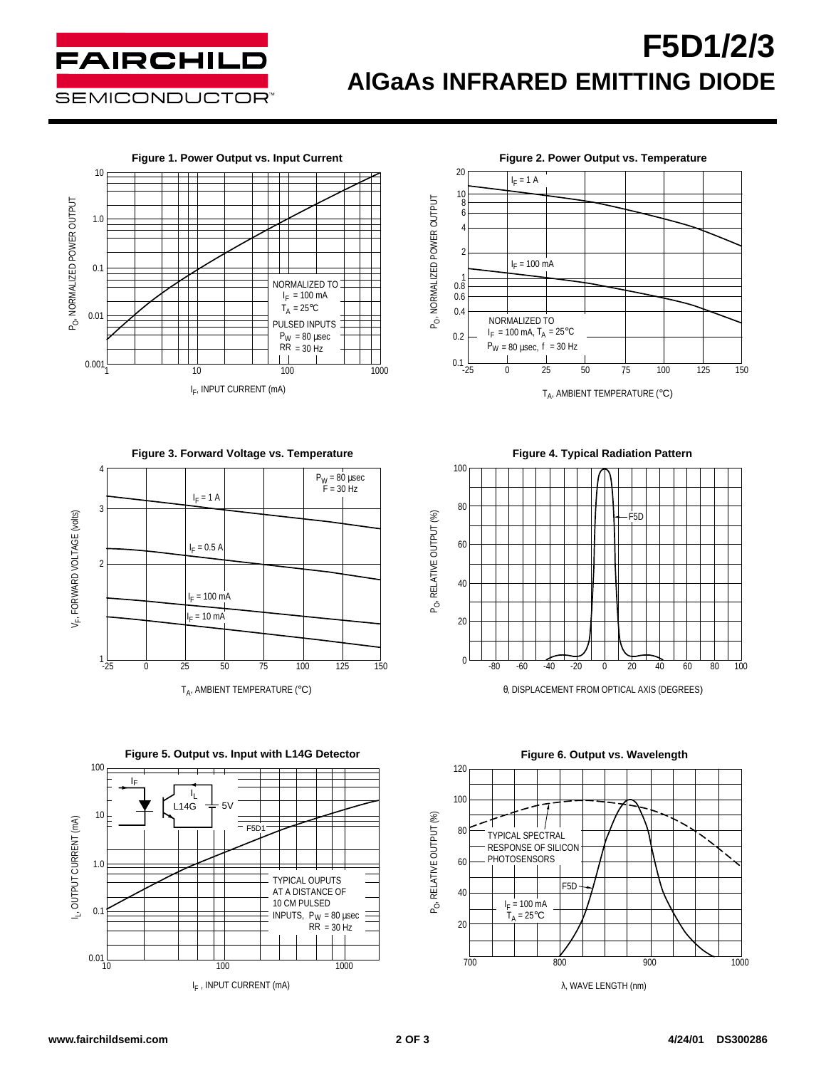

## **F5D1/2/3 AlGaAs INFRARED EMITTING DIODE**

**Figure 1. Power Output vs. Input Current**





 $T_A$ , AMBIENT TEMPERATURE (°C)

**Figure 3. Forward Voltage vs. Temperature**



**Figure 5. Output vs. Input with L14G Detector**



**Figure 4. Typical Radiation Pattern**



θ, DISPLACEMENT FROM OPTICAL AXIS (DEGREES)

#### **Figure 6. Output vs. Wavelength**



λ, WAVE LENGTH (nm)